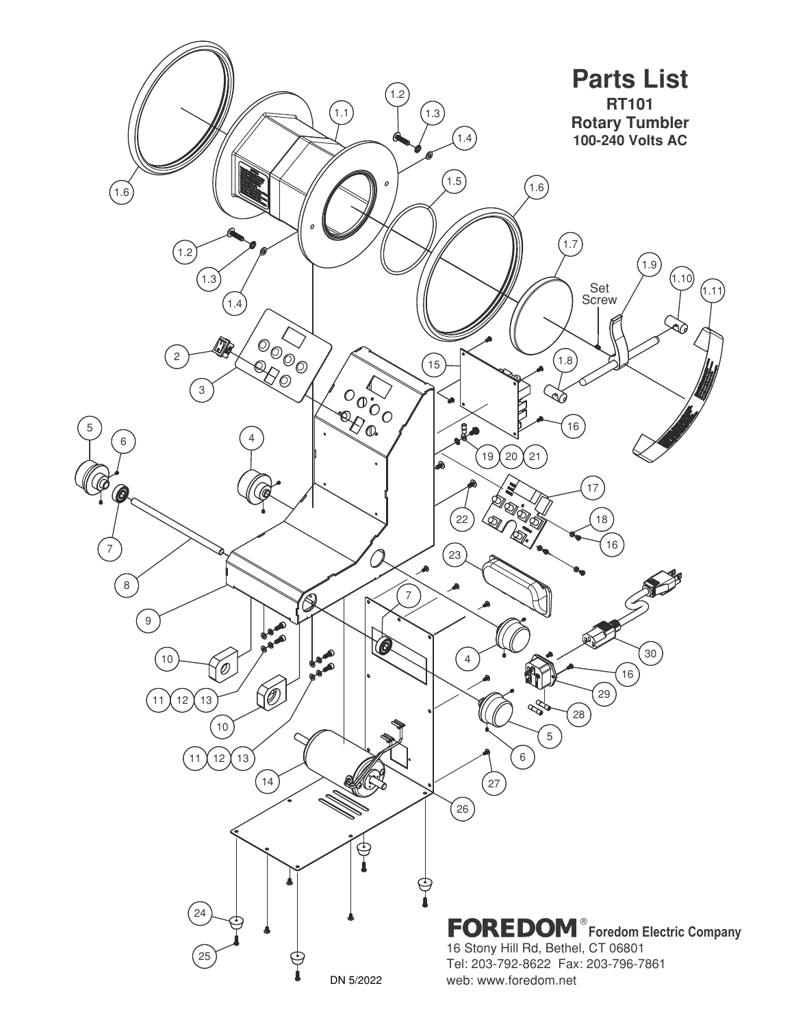